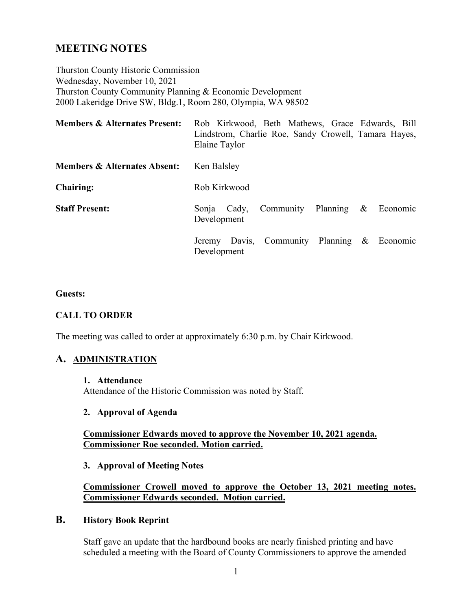# **MEETING NOTES**

Thurston County Historic Commission Wednesday, November 10, 2021 Thurston County Community Planning & Economic Development 2000 Lakeridge Drive SW, Bldg.1, Room 280, Olympia, WA 98502

| <b>Members &amp; Alternates Present:</b> | Rob Kirkwood, Beth Mathews, Grace Edwards, Bill<br>Lindstrom, Charlie Roe, Sandy Crowell, Tamara Hayes,<br>Elaine Taylor |
|------------------------------------------|--------------------------------------------------------------------------------------------------------------------------|
| <b>Members &amp; Alternates Absent:</b>  | Ken Balsley                                                                                                              |
| <b>Chairing:</b>                         | Rob Kirkwood                                                                                                             |
| <b>Staff Present:</b>                    | Community Planning<br>$\&$<br>Economic<br>Cady,<br>Sonja<br>Development                                                  |
|                                          | Jeremy Davis, Community Planning & Economic<br>Development                                                               |

#### **Guests:**

### **CALL TO ORDER**

The meeting was called to order at approximately 6:30 p.m. by Chair Kirkwood.

### **A. ADMINISTRATION**

**1. Attendance**

Attendance of the Historic Commission was noted by Staff.

## **2. Approval of Agenda**

### **Commissioner Edwards moved to approve the November 10, 2021 agenda. Commissioner Roe seconded. Motion carried.**

#### **3. Approval of Meeting Notes**

### **Commissioner Crowell moved to approve the October 13, 2021 meeting notes. Commissioner Edwards seconded. Motion carried.**

## **B. History Book Reprint**

Staff gave an update that the hardbound books are nearly finished printing and have scheduled a meeting with the Board of County Commissioners to approve the amended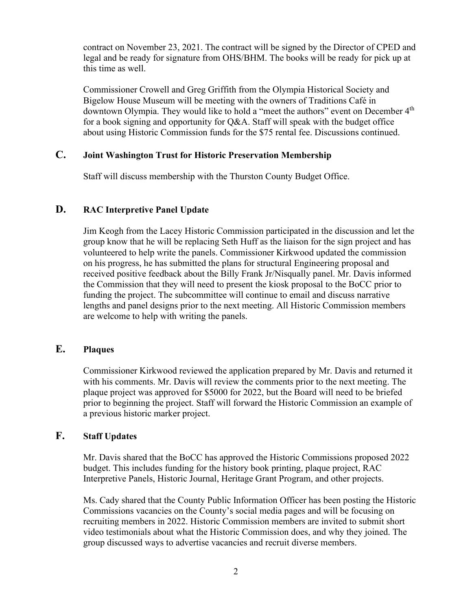contract on November 23, 2021. The contract will be signed by the Director of CPED and legal and be ready for signature from OHS/BHM. The books will be ready for pick up at this time as well.

Commissioner Crowell and Greg Griffith from the Olympia Historical Society and Bigelow House Museum will be meeting with the owners of Traditions Café in downtown Olympia. They would like to hold a "meet the authors" event on December 4<sup>th</sup> for a book signing and opportunity for Q&A. Staff will speak with the budget office about using Historic Commission funds for the \$75 rental fee. Discussions continued.

## **C. Joint Washington Trust for Historic Preservation Membership**

Staff will discuss membership with the Thurston County Budget Office.

## **D. RAC Interpretive Panel Update**

Jim Keogh from the Lacey Historic Commission participated in the discussion and let the group know that he will be replacing Seth Huff as the liaison for the sign project and has volunteered to help write the panels. Commissioner Kirkwood updated the commission on his progress, he has submitted the plans for structural Engineering proposal and received positive feedback about the Billy Frank Jr/Nisqually panel. Mr. Davis informed the Commission that they will need to present the kiosk proposal to the BoCC prior to funding the project. The subcommittee will continue to email and discuss narrative lengths and panel designs prior to the next meeting. All Historic Commission members are welcome to help with writing the panels.

## **E. Plaques**

Commissioner Kirkwood reviewed the application prepared by Mr. Davis and returned it with his comments. Mr. Davis will review the comments prior to the next meeting. The plaque project was approved for \$5000 for 2022, but the Board will need to be briefed prior to beginning the project. Staff will forward the Historic Commission an example of a previous historic marker project.

## **F. Staff Updates**

Mr. Davis shared that the BoCC has approved the Historic Commissions proposed 2022 budget. This includes funding for the history book printing, plaque project, RAC Interpretive Panels, Historic Journal, Heritage Grant Program, and other projects.

Ms. Cady shared that the County Public Information Officer has been posting the Historic Commissions vacancies on the County's social media pages and will be focusing on recruiting members in 2022. Historic Commission members are invited to submit short video testimonials about what the Historic Commission does, and why they joined. The group discussed ways to advertise vacancies and recruit diverse members.